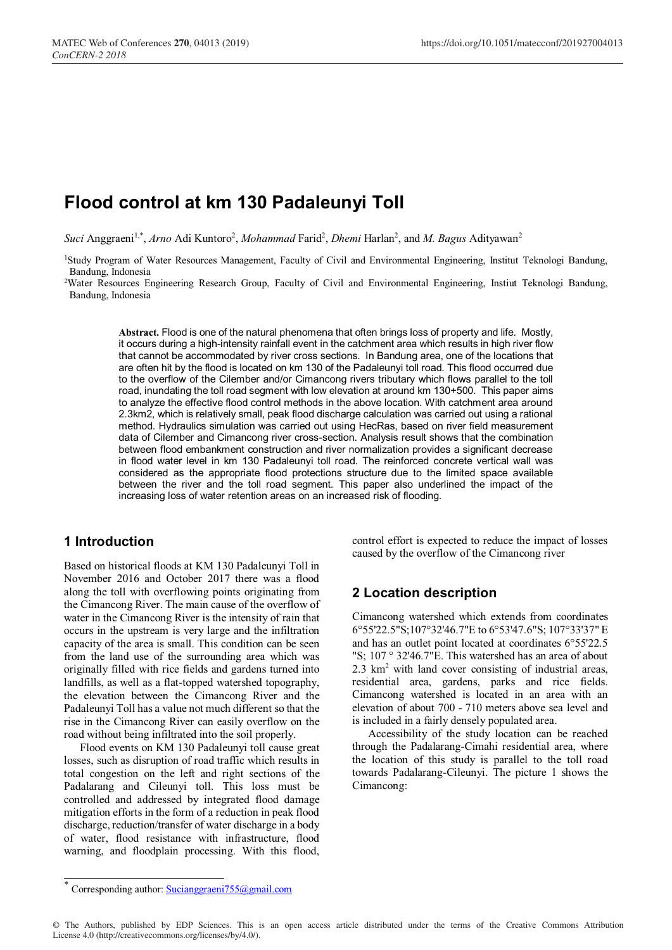# **Flood control at km 130 Padaleunyi Toll**

Suci Anggraeni<sup>1,\*</sup>, *Arno* Adi Kuntoro<sup>2</sup>, *Mohammad* Farid<sup>2</sup>, *Dhemi* Harlan<sup>2</sup>, and *M. Bagus* Adityawan<sup>2</sup>

1 Study Program of Water Resources Management, Faculty of Civil and Environmental Engineering, Institut Teknologi Bandung, Bandung, Indonesia

2 Water Resources Engineering Research Group, Faculty of Civil and Environmental Engineering, Instiut Teknologi Bandung, Bandung, Indonesia

**Abstract.** Flood is one of the natural phenomena that often brings loss of property and life. Mostly, it occurs during a high-intensity rainfall event in the catchment area which results in high river flow that cannot be accommodated by river cross sections. In Bandung area, one of the locations that are often hit by the flood is located on km 130 of the Padaleunyi toll road. This flood occurred due to the overflow of the Cilember and/or Cimancong rivers tributary which flows parallel to the toll road, inundating the toll road segment with low elevation at around km 130+500. This paper aims to analyze the effective flood control methods in the above location. With catchment area around 2.3km2, which is relatively small, peak flood discharge calculation was carried out using a rational method. Hydraulics simulation was carried out using HecRas, based on river field measurement data of Cilember and Cimancong river cross-section. Analysis result shows that the combination between flood embankment construction and river normalization provides a significant decrease in flood water level in km 130 Padaleunyi toll road. The reinforced concrete vertical wall was considered as the appropriate flood protections structure due to the limited space available between the river and the toll road segment. This paper also underlined the impact of the increasing loss of water retention areas on an increased risk of flooding.

## **1 Introduction**

Based on historical floods at KM 130 Padaleunyi Toll in November 2016 and October 2017 there was a flood along the toll with overflowing points originating from the Cimancong River. The main cause of the overflow of water in the Cimancong River is the intensity of rain that occurs in the upstream is very large and the infiltration capacity of the area is small. This condition can be seen from the land use of the surrounding area which was originally filled with rice fields and gardens turned into landfills, as well as a flat-topped watershed topography, the elevation between the Cimancong River and the Padaleunyi Toll has a value not much different so that the rise in the Cimancong River can easily overflow on the road without being infiltrated into the soil properly.

Flood events on KM 130 Padaleunyi toll cause great losses, such as disruption of road traffic which results in total congestion on the left and right sections of the Padalarang and Cileunyi toll. This loss must be controlled and addressed by integrated flood damage mitigation efforts in the form of a reduction in peak flood discharge, reduction/transfer of water discharge in a body of water, flood resistance with infrastructure, flood warning, and floodplain processing. With this flood,

control effort is expected to reduce the impact of losses caused by the overflow of the Cimancong river

# **2 Location description**

Cimancong watershed which extends from coordinates 6°55'22.5"S;107°32'46.7"E to 6°53'47.6"S; 107°33'37" E and has an outlet point located at coordinates 6°55'22.5 "S; 107 ° 32'46.7"E. This watershed has an area of about 2.3 km2 with land cover consisting of industrial areas, residential area, gardens, parks and rice fields. Cimancong watershed is located in an area with an elevation of about 700 - 710 meters above sea level and is included in a fairly densely populated area.

Accessibility of the study location can be reached through the Padalarang-Cimahi residential area, where the location of this study is parallel to the toll road towards Padalarang-Cileunyi. The picture 1 shows the Cimancong:

<sup>\*</sup> Corresponding author: Sucianggraeni755@gmail.com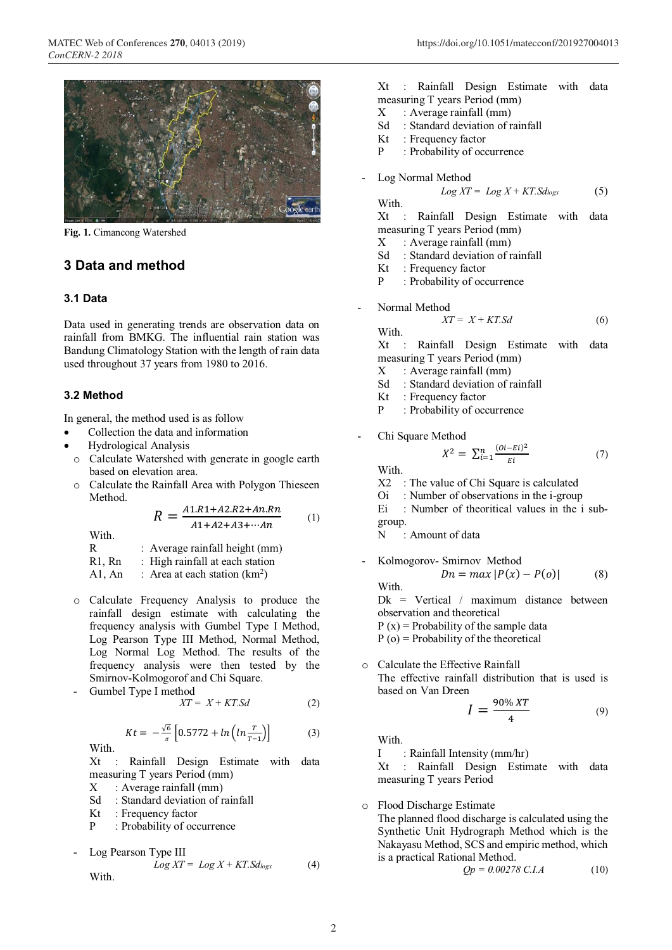

**Fig. 1.** Cimancong Watershed

# **3 Data and method**

#### **3.1 Data**

Data used in generating trends are observation data on rainfall from BMKG. The influential rain station was Bandung Climatology Station with the length of rain data used throughout 37 years from 1980 to 2016.

## **3.2 Method**

In general, the method used is as follow

- Collection the data and information
- Hydrological Analysis
- o Calculate Watershed with generate in google earth based on elevation area.
- o Calculate the Rainfall Area with Polygon Thieseen Method.

$$
R = \frac{A1.R1 + A2.R2 + An.Rn}{A1 + A2 + A3 + \dotsb An}
$$
 (1)

With.

R : Average rainfall height (mm)

$$
R1, Rn : High rainfall at each station
$$

A1, An : Area at each station  $(km^2)$ 

- o Calculate Frequency Analysis to produce the rainfall design estimate with calculating the frequency analysis with Gumbel Type I Method, Log Pearson Type III Method, Normal Method, Log Normal Log Method. The results of the frequency analysis were then tested by the Smirnov-Kolmogorof and Chi Square.
- Gumbel Type I method

$$
XT = X + KT.Sd \tag{2}
$$

$$
Kt = -\frac{\sqrt{6}}{\pi} \left[ 0.5772 + \ln \left( \ln \frac{T}{T-1} \right) \right]
$$
 (3)

With.

Xt : Rainfall Design Estimate with data measuring T years Period (mm)

 $X : Average rainfall (mm)$ 

- Sd : Standard deviation of rainfall
- Kt : Frequency factor
- P : Probability of occurrence

- Log Pearson Type III  
\n
$$
Log XT = Log X + KT.Sd_{logx}
$$
 (4)  
\nWith.

Xt : Rainfall Design Estimate with data measuring T years Period (mm)

- X : Average rainfall (mm)
- Sd : Standard deviation of rainfall
- Kt : Frequency factor
- P : Probability of occurrence
- Log Normal Method

$$
Log XT = Log X + KT.Sd_{logx} \tag{5}
$$

With.<br>Xt Rainfall Design Estimate with data measuring T years Period (mm)

- $X : Average rainfall (mm)$
- Sd : Standard deviation of rainfall
- 
- Kt : Frequency factor
- P : Probability of occurrence
- Normal Method  $XT = X + KT.Sd$  (6)

With.

Xt : Rainfall Design Estimate with data measuring T years Period (mm)

- $X : Average rainfall (mm)$
- Sd : Standard deviation of rainfall
- Kt : Frequency factor
- P : Probability of occurrence
- Chi Square Method

$$
X^{2} = \sum_{i=1}^{n} \frac{(oi - Ei)^{2}}{Ei}
$$
 (7)

With. X2 : The value of Chi Square is calculated

- Oi : Number of observations in the i-group
- Ei : Number of theoritical values in the i subgroup.
- N : Amount of data
- Kolmogorov- Smirnov Method  $Dn = max |P(x) - P(o)|$  (8) With.

Dk = Vertical / maximum distance between observation and theoretical

 $P(x)$  = Probability of the sample data

 $P$  (o) = Probability of the theoretical

o Calculate the Effective Rainfall The effective rainfall distribution that is used is based on Van Dreen

$$
I = \frac{90\% \, XT}{4} \tag{9}
$$

With.

I : Rainfall Intensity (mm/hr)

Xt : Rainfall Design Estimate with data measuring T years Period

o Flood Discharge Estimate The planned flood discharge is calculated using the Synthetic Unit Hydrograph Method which is the Nakayasu Method, SCS and empiric method, which is a practical Rational Method.

$$
Qp = 0.00278 \, C.I.A \tag{10}
$$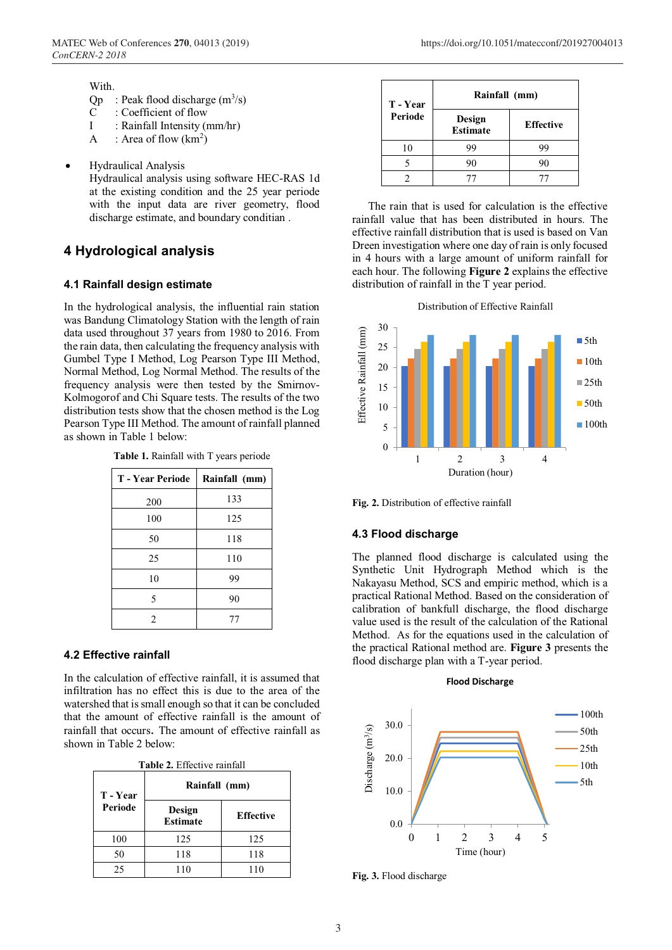#### With.

- $Qp$  : Peak flood discharge  $(m^3/s)$
- C : Coefficient of flow
- I : Rainfall Intensity (mm/hr)
- A : Area of flow  $(km^2)$
- Hydraulical Analysis
	- Hydraulical analysis using software HEC-RAS 1d at the existing condition and the 25 year periode with the input data are river geometry, flood discharge estimate, and boundary conditian .

# **4 Hydrological analysis**

#### **4.1 Rainfall design estimate**

In the hydrological analysis, the influential rain station was Bandung Climatology Station with the length of rain data used throughout 37 years from 1980 to 2016. From the rain data, then calculating the frequency analysis with Gumbel Type I Method, Log Pearson Type III Method, Normal Method, Log Normal Method. The results of the frequency analysis were then tested by the Smirnov-Kolmogorof and Chi Square tests. The results of the two distribution tests show that the chosen method is the Log Pearson Type III Method. The amount of rainfall planned as shown in Table 1 below:

| <b>T</b> - Year Periode | Rainfall (mm) |
|-------------------------|---------------|
| 200                     | 133           |
| 100                     | 125           |
| 50                      | 118           |
| 25                      | 110           |
| 10                      | 99            |
| 5                       | 90            |
| 2                       | 77            |

## **4.2 Effective rainfall**

In the calculation of effective rainfall, it is assumed that infiltration has no effect this is due to the area of the watershed that is small enough so that it can be concluded that the amount of effective rainfall is the amount of rainfall that occurs. The amount of effective rainfall as shown in Table 2 below:

| <b>Table 2.</b> Effective rainfall |
|------------------------------------|
|------------------------------------|

| T - Year | Rainfall (mm)             |                  |
|----------|---------------------------|------------------|
| Periode  | Design<br><b>Estimate</b> | <b>Effective</b> |
| 100      | 125                       | 125              |
| 50       | 118                       | 118              |
| 25       | 110                       | 110              |

| T - Year | Rainfall (mm)             |                  |
|----------|---------------------------|------------------|
| Periode  | Design<br><b>Estimate</b> | <b>Effective</b> |
| 10       | 99                        | 99               |
|          | 90                        | 90               |
|          |                           |                  |

The rain that is used for calculation is the effective rainfall value that has been distributed in hours. The effective rainfall distribution that is used is based on Van Dreen investigation where one day of rain is only focused in 4 hours with a large amount of uniform rainfall for each hour. The following **Figure 2** explains the effective distribution of rainfall in the T year period.





**Fig. 2.** Distribution of effective rainfall

#### **4.3 Flood discharge**

The planned flood discharge is calculated using the Synthetic Unit Hydrograph Method which is the Nakayasu Method, SCS and empiric method, which is a practical Rational Method. Based on the consideration of calibration of bankfull discharge, the flood discharge value used is the result of the calculation of the Rational Method. As for the equations used in the calculation of the practical Rational method are. **Figure 3** presents the flood discharge plan with a T-year period.



**Fig. 3.** Flood discharge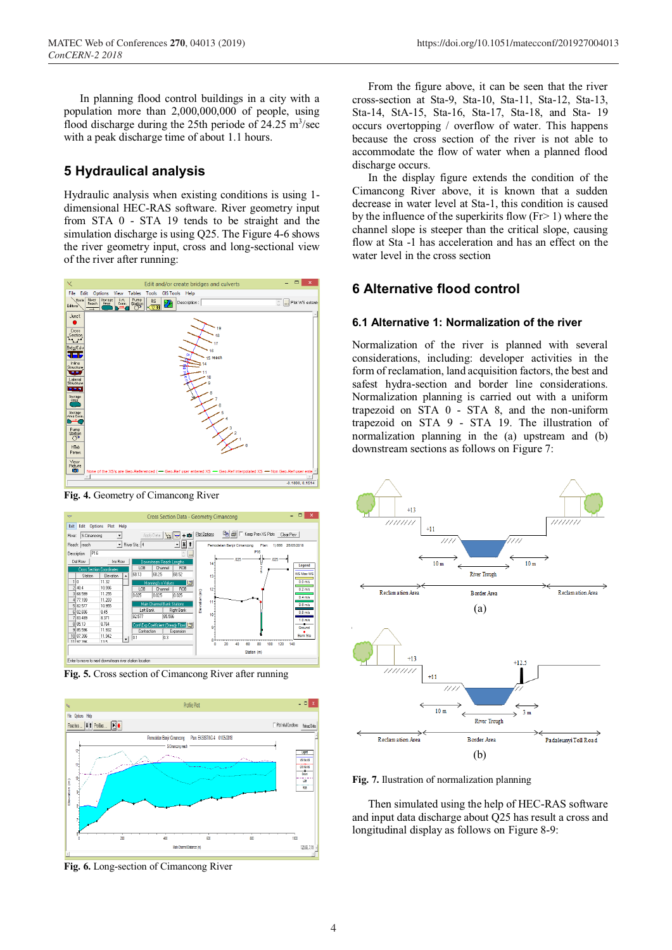In planning flood control buildings in a city with a population more than 2,000,000,000 of people, using flood discharge during the 25th periode of 24.25  $\text{m}^3/\text{sec}$ with a peak discharge time of about 1.1 hours.

# **5 Hydraulical analysis**

Hydraulic analysis when existing conditions is using 1 dimensional HEC-RAS software. River geometry input from STA 0 - STA 19 tends to be straight and the simulation discharge is using Q25. The Figure 4-6 shows the river geometry input, cross and long-sectional view of the river after running:



**Fig. 4.** Geometry of Cimancong River



**Fig. 5.** Cross section of Cimancong River after running



**Fig. 6.** Long-section of Cimancong River

From the figure above, it can be seen that the river cross-section at Sta-9, Sta-10, Sta-11, Sta-12, Sta-13, Sta-14, StA-15, Sta-16, Sta-17, Sta-18, and Sta- 19 occurs overtopping / overflow of water. This happens because the cross section of the river is not able to accommodate the flow of water when a planned flood discharge occurs.

In the display figure extends the condition of the Cimancong River above, it is known that a sudden decrease in water level at Sta-1, this condition is caused by the influence of the superkirits flow  $(Fr > 1)$  where the channel slope is steeper than the critical slope, causing flow at Sta -1 has acceleration and has an effect on the water level in the cross section

# **6 Alternative flood control**

## **6.1 Alternative 1: Normalization of the river**

Normalization of the river is planned with several considerations, including: developer activities in the form of reclamation, land acquisition factors, the best and safest hydra-section and border line considerations. Normalization planning is carried out with a uniform trapezoid on STA 0 - STA 8, and the non-uniform trapezoid on STA 9 - STA 19. The illustration of normalization planning in the (a) upstream and (b) downstream sections as follows on Figure 7:



**Fig. 7.** Ilustration of normalization planning

Then simulated using the help of HEC-RAS software and input data discharge about Q25 has result a cross and longitudinal display as follows on Figure 8-9: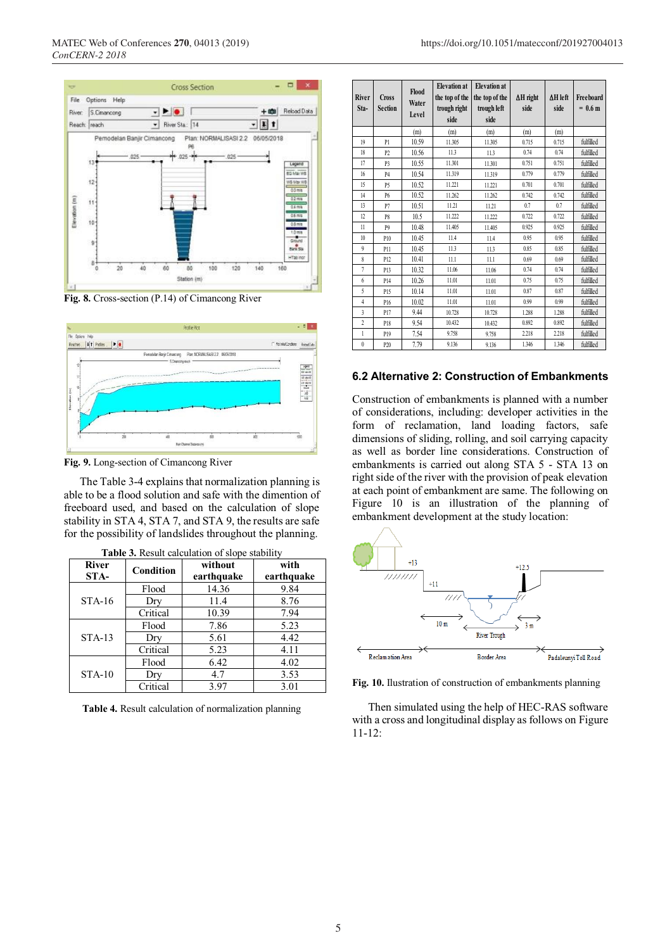





**Fig. 9.** Long-section of Cimancong River

The Table 3-4 explains that normalization planning is able to be a flood solution and safe with the dimention of freeboard used, and based on the calculation of slope stability in STA 4, STA 7, and STA 9, the results are safe for the possibility of landslides throughout the planning.

| <b>River</b><br>STA- | Condition | without<br>earthquake | with<br>earthquake |
|----------------------|-----------|-----------------------|--------------------|
|                      | Flood     | 14.36                 | 9.84               |
| $STA-16$             | Dry       | 11.4                  | 8.76               |
|                      | Critical  | 10.39                 | 7.94               |
| $STA-13$             | Flood     | 7.86                  | 5.23               |
|                      | Dry       | 5.61                  | 4.42               |
|                      | Critical  | 5.23                  | 4.11               |
|                      | Flood     | 6.42                  | 4.02               |
| $STA-10$             | Dry       | 4.7                   | 3.53               |
|                      | Critical  | 3.97                  | 3.01               |

| <b>Table 3.</b> Result calculation of slope stability |
|-------------------------------------------------------|
|-------------------------------------------------------|

**Table 4.** Result calculation of normalization planning

| River<br>Sta-           | <b>Cross</b><br><b>Section</b> | Flood<br>Water<br>Level | <b>Elevation</b> at<br>the top of the<br>trough right<br>side | <b>Elevation</b> at<br>the top of the<br>trough left<br>side | $\Delta H$ right<br>side | $\Delta H$ left<br>side | Freeboard<br>$= 0.6 \text{ m}$ |
|-------------------------|--------------------------------|-------------------------|---------------------------------------------------------------|--------------------------------------------------------------|--------------------------|-------------------------|--------------------------------|
|                         |                                | (m)                     | (m)                                                           | (m)                                                          | (m)                      | (m)                     |                                |
| 19                      | P <sub>1</sub>                 | 10.59                   | 11.305                                                        | 11.305                                                       | 0.715                    | 0.715                   | fulfilled                      |
| 18                      | P <sub>2</sub>                 | 10.56                   | 11.3                                                          | 11.3                                                         | 0.74                     | 0.74                    | fulfilled                      |
| 17                      | P3                             | 10.55                   | 11.301                                                        | 11.301                                                       | 0.751                    | 0.751                   | fulfilled                      |
| 16                      | <b>P4</b>                      | 10.54                   | 11.319                                                        | 11.319                                                       | 0.779                    | 0.779                   | fulfilled                      |
| 15                      | P <sub>5</sub>                 | 10.52                   | 11.221                                                        | 11.221                                                       | 0.701                    | 0.701                   | fulfilled                      |
| 14                      | <b>P6</b>                      | 10.52                   | 11.262                                                        | 11.262                                                       | 0.742                    | 0.742                   | fulfilled                      |
| 13                      | P7                             | 10.51                   | 11.21                                                         | 11.21                                                        | 0.7                      | 0.7                     | fulfilled                      |
| 12                      | P <sub>8</sub>                 | 10.5                    | 11.222                                                        | 11.222                                                       | 0.722                    | 0.722                   | fulfilled                      |
| 11                      | P <sub>9</sub>                 | 10.48                   | 11.405                                                        | 11.405                                                       | 0.925                    | 0.925                   | fulfilled                      |
| 10                      | P10                            | 10.45                   | 11.4                                                          | 11.4                                                         | 0.95                     | 0.95                    | fulfilled                      |
| 9                       | P11                            | 10.45                   | 11.3                                                          | 11.3                                                         | 0.85                     | 0.85                    | fulfilled                      |
| 8                       | P <sub>12</sub>                | 10.41                   | 11.1                                                          | 11.1                                                         | 0.69                     | 0.69                    | fulfilled                      |
| 7                       | P <sub>13</sub>                | 10.32                   | 11.06                                                         | 11.06                                                        | 0.74                     | 0.74                    | fulfilled                      |
| 6                       | P <sub>14</sub>                | 10.26                   | 11.01                                                         | 11.01                                                        | 0.75                     | 0.75                    | fulfilled                      |
| 5                       | P <sub>15</sub>                | 10.14                   | 11.01                                                         | 11.01                                                        | 0.87                     | 0.87                    | fulfilled                      |
| $\overline{4}$          | P <sub>16</sub>                | 10.02                   | 11.01                                                         | 11.01                                                        | 0.99                     | 0.99                    | fulfilled                      |
| $\overline{\mathbf{3}}$ | P17                            | 9.44                    | 10.728                                                        | 10.728                                                       | 1.288                    | 1.288                   | fulfilled                      |
| $\overline{c}$          | P18                            | 9.54                    | 10.432                                                        | 10.432                                                       | 0.892                    | 0.892                   | fulfilled                      |
| 1                       | P19                            | 7.54                    | 9.758                                                         | 9.758                                                        | 2.218                    | 2.218                   | fulfilled                      |
| $\mathbf{0}$            | P <sub>20</sub>                | 7.79                    | 9.136                                                         | 9.136                                                        | 1.346                    | 1.346                   | fulfilled                      |

#### **6.2 Alternative 2: Construction of Embankments**

Construction of embankments is planned with a number of considerations, including: developer activities in the form of reclamation, land loading factors, safe dimensions of sliding, rolling, and soil carrying capacity as well as border line considerations. Construction of embankments is carried out along STA 5 - STA 13 on right side of the river with the provision of peak elevation at each point of embankment are same. The following on Figure 10 is an illustration of the planning of embankment development at the study location:



**Fig. 10.** Ilustration of construction of embankments planning

Then simulated using the help of HEC-RAS software with a cross and longitudinal display as follows on Figure 11-12: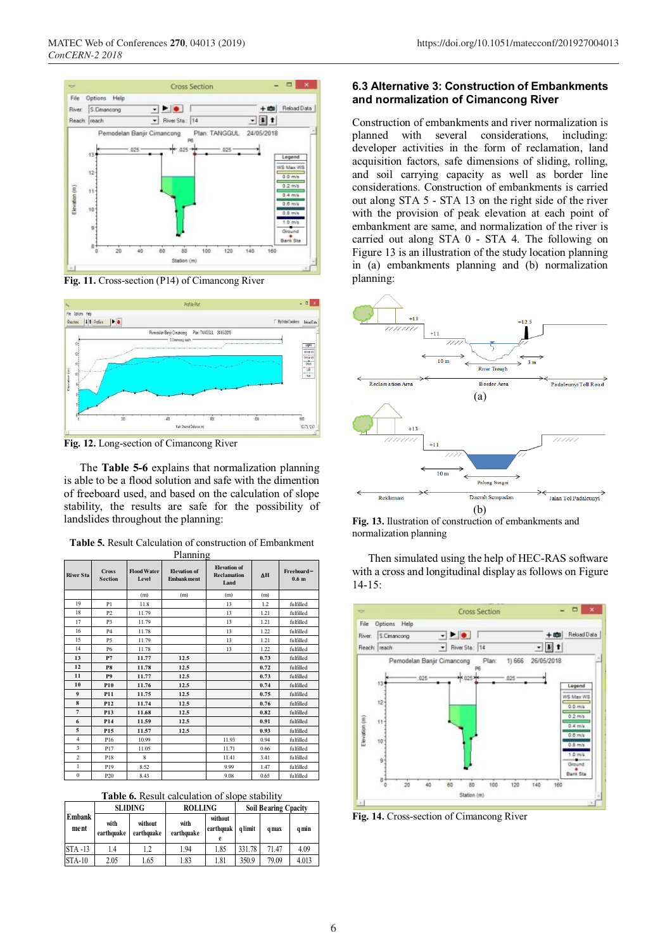

**Fig. 11.** Cross-section (P14) of Cimancong River



**Fig. 12.** Long-section of Cimancong River

The **Table 5-6** explains that normalization planning is able to be a flood solution and safe with the dimention of freeboard used, and based on the calculation of slope stability, the results are safe for the possibility of landslides throughout the planning:

**Table 5.** Result Calculation of construction of Embankment

| <b>River Sta</b> | <b>Cross</b><br><b>Section</b> | <b>Flood Water</b><br>Level | <b>Elevation</b> of<br><b>Embankment</b> | <b>Elevation</b> of<br><b>Reclamation</b><br>Land | ΔH   | $Freeboard =$<br>0.6 <sub>m</sub> |
|------------------|--------------------------------|-----------------------------|------------------------------------------|---------------------------------------------------|------|-----------------------------------|
|                  |                                | (m)                         | (m)                                      | (m)                                               | (m)  |                                   |
| 19               | P1                             | 11.8                        |                                          | 13                                                | 1.2  | fulfilled                         |
| 18               | P <sub>2</sub>                 | 11.79                       |                                          | 13                                                | 1.21 | fulfilled                         |
| 17               | P <sub>3</sub>                 | 11.79                       |                                          | 13                                                | 1.21 | fulfilled                         |
| 16               | <b>P4</b>                      | 11.78                       |                                          | 13                                                | 1.22 | fulfilled                         |
| 15               | P <sub>5</sub>                 | 11.79                       |                                          | 13                                                | 1.21 | fulfilled                         |
| 14               | <b>P6</b>                      | 11.78                       |                                          | 13                                                | 1.22 | fulfilled                         |
| 13               | P7                             | 11.77                       | 12.5                                     |                                                   | 0.73 | fulfilled                         |
| 12               | P8                             | 11.78                       | 12.5                                     |                                                   | 0.72 | fulfilled                         |
| 11               | P <sub>9</sub>                 | 11.77                       | 12.5                                     |                                                   | 0.73 | fulfilled                         |
| 10               | P <sub>10</sub>                | 11.76                       | 12.5                                     |                                                   | 0.74 | fulfilled                         |
| $\boldsymbol{9}$ | P <sub>11</sub>                | 11.75                       | 12.5                                     |                                                   | 0.75 | fulfilled                         |
| 8                | P <sub>12</sub>                | 11.74                       | 12.5                                     |                                                   | 0.76 | fulfilled                         |
| $\overline{7}$   | P <sub>13</sub>                | 11.68                       | 12.5                                     |                                                   | 0.82 | fulfilled                         |
| 6                | P <sub>14</sub>                | 11.59                       | 12.5                                     |                                                   | 0.91 | fulfilled                         |
| 5                | P <sub>15</sub>                | 11.57                       | 12.5                                     |                                                   | 0.93 | fulfilled                         |
| $\overline{4}$   | P <sub>16</sub>                | 10.99                       |                                          | 11.93                                             | 0.94 | fulfilled                         |
| $\overline{3}$   | P17                            | 11.05                       |                                          | 11.71                                             | 0.66 | fulfilled                         |
| $\overline{c}$   | P18                            | 8                           |                                          | 11.41                                             | 3.41 | fulfilled                         |
| $\mathbf{1}$     | P19                            | 8.52                        |                                          | 9.99                                              | 1.47 | fulfilled                         |
| $\bf{0}$         | P <sub>20</sub>                | 8.43                        |                                          | 9.08                                              | 0.65 | fulfilled                         |

**Table 6.** Result calculation of slope stability

|                |                    | <b>SLIDING</b>        | <b>ROLLING</b>     |                      | <b>Soil Bearing Cpacity</b> |              |       |
|----------------|--------------------|-----------------------|--------------------|----------------------|-----------------------------|--------------|-------|
| Embank<br>ment | with<br>earthouake | without<br>earthquake | with<br>earthquake | without<br>earthquak | a limit                     | <b>a</b> max | q min |
| <b>STA -13</b> | 1.4                | 1.2                   | 1.94               | 1.85                 | 331.78                      | 71.47        | 4.09  |
| <b>STA-10</b>  | 2.05               | 1.65                  | 1.83               | 1.81                 | 350.9                       | 79.09        | 4.013 |

#### **6.3 Alternative 3: Construction of Embankments and normalization of Cimancong River**

Construction of embankments and river normalization is planned with several considerations, including: developer activities in the form of reclamation, land acquisition factors, safe dimensions of sliding, rolling, and soil carrying capacity as well as border line considerations. Construction of embankments is carried out along STA 5 - STA 13 on the right side of the river with the provision of peak elevation at each point of embankment are same, and normalization of the river is carried out along STA 0 - STA 4. The following on Figure 13 is an illustration of the study location planning in (a) embankments planning and (b) normalization planning:



**Fig. 13.** Ilustration of construction of embankments and normalization planning

Then simulated using the help of HEC-RAS software with a cross and longitudinal display as follows on Figure 14-15:



**Fig. 14.** Cross-section of Cimancong River